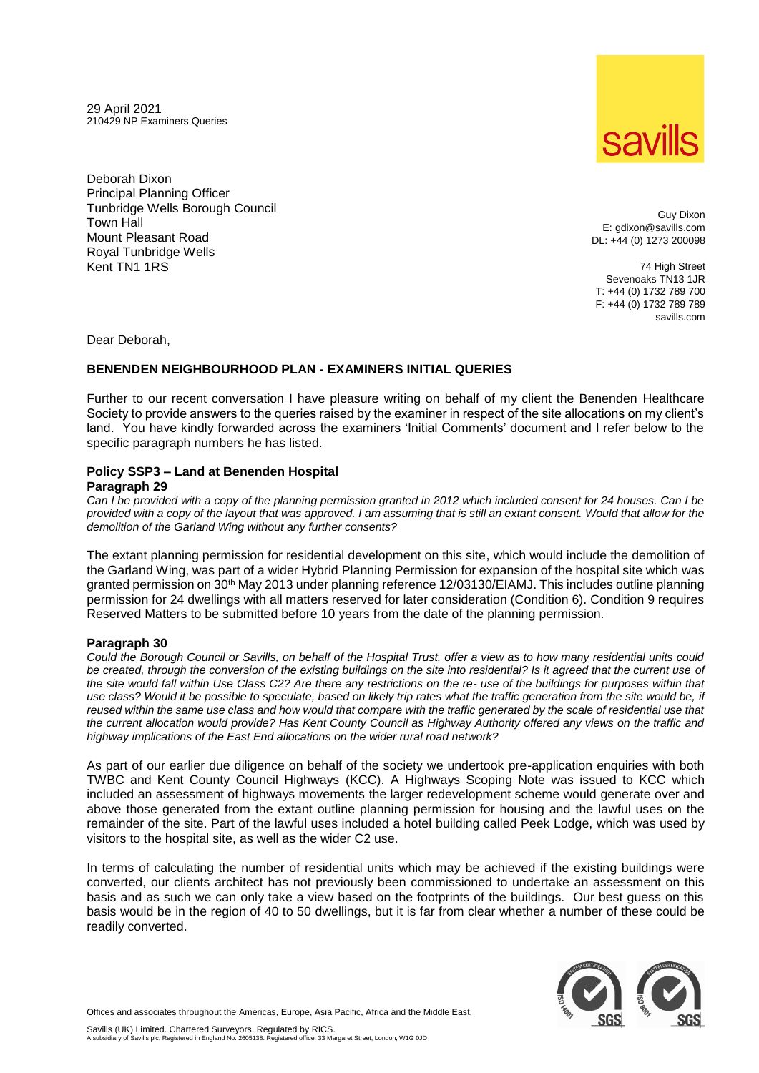29 April 2021 210429 NP Examiners Queries

Deborah Dixon Principal Planning Officer Tunbridge Wells Borough Council Town Hall Mount Pleasant Road Royal Tunbridge Wells Kent TN1 1RS

Guy Dixon E: gdixon@savills.com DL: +44 (0) 1273 200098

74 High Street Sevenoaks TN13 1JR T: +44 (0) 1732 789 700 F: +44 (0) 1732 789 789 savills.com

Dear Deborah,

## **BENENDEN NEIGHBOURHOOD PLAN - EXAMINERS INITIAL QUERIES**

Further to our recent conversation I have pleasure writing on behalf of my client the Benenden Healthcare Society to provide answers to the queries raised by the examiner in respect of the site allocations on my client's land. You have kindly forwarded across the examiners 'Initial Comments' document and I refer below to the specific paragraph numbers he has listed.

## **Policy SSP3 – Land at Benenden Hospital**

**Paragraph 29**

*Can I be provided with a copy of the planning permission granted in 2012 which included consent for 24 houses. Can I be provided with a copy of the layout that was approved. I am assuming that is still an extant consent. Would that allow for the demolition of the Garland Wing without any further consents?* 

The extant planning permission for residential development on this site, which would include the demolition of the Garland Wing, was part of a wider Hybrid Planning Permission for expansion of the hospital site which was granted permission on 30<sup>th</sup> May 2013 under planning reference 12/03130/EIAMJ. This includes outline planning permission for 24 dwellings with all matters reserved for later consideration (Condition 6). Condition 9 requires Reserved Matters to be submitted before 10 years from the date of the planning permission.

## **Paragraph 30**

*Could the Borough Council or Savills, on behalf of the Hospital Trust, offer a view as to how many residential units could be created, through the conversion of the existing buildings on the site into residential? Is it agreed that the current use of the site would fall within Use Class C2? Are there any restrictions on the re- use of the buildings for purposes within that use class? Would it be possible to speculate, based on likely trip rates what the traffic generation from the site would be, if reused within the same use class and how would that compare with the traffic generated by the scale of residential use that the current allocation would provide? Has Kent County Council as Highway Authority offered any views on the traffic and highway implications of the East End allocations on the wider rural road network?* 

As part of our earlier due diligence on behalf of the society we undertook pre-application enquiries with both TWBC and Kent County Council Highways (KCC). A Highways Scoping Note was issued to KCC which included an assessment of highways movements the larger redevelopment scheme would generate over and above those generated from the extant outline planning permission for housing and the lawful uses on the remainder of the site. Part of the lawful uses included a hotel building called Peek Lodge, which was used by visitors to the hospital site, as well as the wider C2 use.

In terms of calculating the number of residential units which may be achieved if the existing buildings were converted, our clients architect has not previously been commissioned to undertake an assessment on this basis and as such we can only take a view based on the footprints of the buildings. Our best guess on this basis would be in the region of 40 to 50 dwellings, but it is far from clear whether a number of these could be readily converted.



Offices and associates throughout the Americas, Europe, Asia Pacific, Africa and the Middle East.